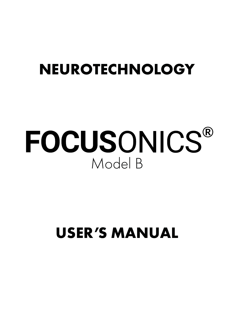## **NEUROTECHNOLOGY**

# Model B FOCUSONICS®

# **USER'S MANUAL**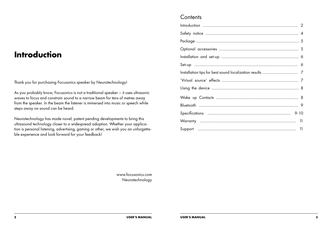#### **Introduction**

Thank you for purchasing Focusonics speaker by Neurotechnology!

As you probably know, Focusonics is not a traditional speaker – it uses ultrasonic waves to focus and constrain sound to a narrow beam for tens of metres away from the speaker. In the beam the listener is immersed into music or speech while steps away no sound can be heard.

Neurotechnology has made novel, patent pending developments to bring this ultrasound technology closer to a widespread adoption. Whether your application is personal listening, advertising, gaming or other, we wish you an unforgettable experience and look forward for your feedback!

#### **Contents**

www.focusonics.com Neurotechnology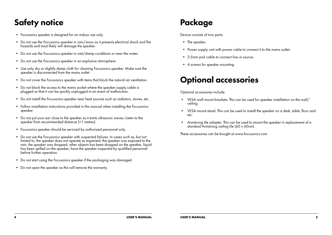#### Safety notice **Package**

- Focusonics speaker is designed for an indoor use only.
- Do not use the Focusonics speaker in rain/snow as it presents electrical shock and fire hazards and most likely will damage the speaker.
- Do not use the Focusonics speaker in wet/damp conditions or near the water.
- Do not use the Focusonics speaker in an explosive atmosphere.
- Use only dry or slightly damp cloth for cleaning Focusonics speaker. Make sure the speaker is disconnected from the mains outlet.
- Do not cover the Focusonics speaker with items that block the natural air ventilation.
- Do not block the access to the mains socket where the speaker supply cable is plugged so that it can be quickly unplugged in an event of malfunction.
- Do not install the Focusonics speaker near heat sources such as radiators, stoves, etc.
- Follow installation instructions provided in this manual when installing the Focusonics speaker.
- Do not put your ear close to the speaker as it emits ultrasonic waves. Listen to the speaker from recommended distance (>1 metres).
- Focusonics speaker should be serviced by authorized personnel only.
- Do not use the Focusonics speaker with suspected failures. In cases such as, but not limited to, the speaker does not operate as expected, the speaker was exposed to the rain, the speaker was dropped, other objects has been dropped on the speaker, liquid has been spilled on the speaker, have the speaker inspected by qualified personnel before further operation.
- Do not start using the Focusonics speaker if the packaging was damaged.
- Do not open the speaker as this will remove the warranty.

Device consists of two parts:

- The speaker.
- Power supply unit with power cable to connect it to the mains outlet.
- 3.5mm jack cable to connect line-in source.
- 4 screws for speaker mounting.

#### Optional accessories

Optional accessories include:

- VESA wall mount brackets. This can be used for speaker installation on the wall/ ceiling.
- VESA mount stand. This can be used to install the speaker on a desk, table, floor and etc.
- Armstrong tile adapter. This can be used to mount the speaker in replacement of a standard Armstrong ceiling tile (60 x 60cm).

These accessories can be bought at www.focusonics.com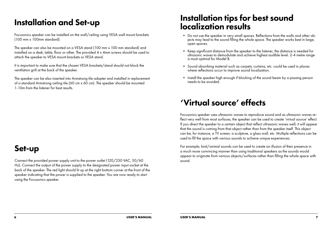#### Installation and Set-up

Focusonics speaker can be installed on the wall/ceiling using VESA wall mount brackets (100 mm x 100mm standard).

The speaker can also be mounted on a VESA stand (100 mm x 100 mm standard) and installed on a desk, table, floor or other. The provided 4 x 4mm screws should be used to attach the speaker to VESA mount brackets or VESA stand.

It is important to make sure that the chosen VESA brackets/stand should not block the ventilation grill at the back of the speaker.

The speaker can be also inserted into Armstrong tile adapter and installed in replacement of a standard Armstrong ceiling tile (60 cm x 60 cm). The speaker should be mounted 1-10m from the listener for best results.

#### Set-up

Connect the provided power supply unit to the power outlet (120/230 VAC, 50/60 Hz). Connect the output of the power supply to the designated power input socket at the back of the speaker. The red light should lit up at the right bottom corner at the front of the speaker indicating that the power is supplied to the speaker. You are now ready to start using the Focusonics speaker.

#### Installation tips for best sound localization results

- Do not use the speaker in very small spaces. Reflections from the walls and other objects may lead to the sound filling the whole space. The speaker works best in large, open spaces.
- Keep significant distance from the speaker to the listener, the distance is needed for ultrasonic waves to demodulate and achieve highest audible level. 2-4 metre range is most optimal for Model B.
- Sound absorbing material such as carpets, curtains, etc. could be used in places where reflections occur to improve sound localization.
- Install the speaker high enough if blocking of the sound beam by a passing person needs to be avoided.

#### 'Virtual source' effects

Focusonics speaker uses ultrasonic waves to reproduce sound and as ultrasonic waves reflect very well from most surfaces, the speaker can be used to create 'virtual source' effect. If you direct the speaker to a certain object that reflect ultrasonic waves well, it will appear that the sound is coming from that object rather than from the speaker itself. This object can be, for instance, a TV screen, a sculpture, a glass wall, etc. Multiple reflections can be used to fill the space with various sounds to achieve unique experiences.

For example, bird/animal sounds can be used to create an illusion of their presence in a much more convincing manner than using traditional speakers as the sounds would appear to originate from various objects/surfaces rather than filling the whole space with sound.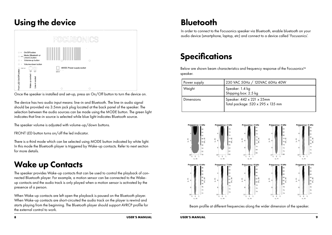#### Using the device



Once the speaker is installed and set-up, press an On/Off button to turn the device on.

The device has two audio input means: line-in and Bluetooth. The line-in audio signal should be provided via 3.5mm jack plug located at the back panel of the speaker. The selection between the audio sources can be made using the MODE button. The green light indicates that line-in source is selected while blue light indicates Bluetooth source.

The speaker volume is adjusted with volume-up/down buttons.

FRONT LED button turns on/off the led indicator.

There is a third mode which can be selected using MODE button indicated by white light. In this mode the Bluetooth player is triggered by Wake-up contacts. Refer to next section for more details.

#### Wake up Contacts

The speaker provides Wake-up contacts that can be used to control the playback of connected Bluetooth player. For example, a motion sensor can be connected to the Wakeup contacts and the audio track is only played when a motion sensor is activated by the presence of a person.

When Wake-up contacts are left open the playback is paused on the Bluetooth player. When Wake-up contacts are short-circuited the audio track on the player is rewind and starts playing from the beginning. The Bluetooth player should support AVRCP profile for the external control to work.

#### **Bluetooth**

In order to connect to the Focusonics speaker via Bluetooth, enable bluetooth on your audio device (smartphone, laptop, etc) and connect to a device called 'Focusonics'.

### **Specifications**

Below are shown beam characteristics and frequency response of the Focusonics™ speaker.

| Power supply      | 230 VAC 50Hz / 120VAC 60Hz 40W                                 |
|-------------------|----------------------------------------------------------------|
| Weight            | Speaker: 1.4 kg<br>Shipping box: 2.5 kg                        |
| <b>Dimensions</b> | Speaker: 442 x 221 x 25mm<br>Total package: 520 x 295 x 135 mm |



Beam profile at different frequencies along the wider dimension of the speaker.